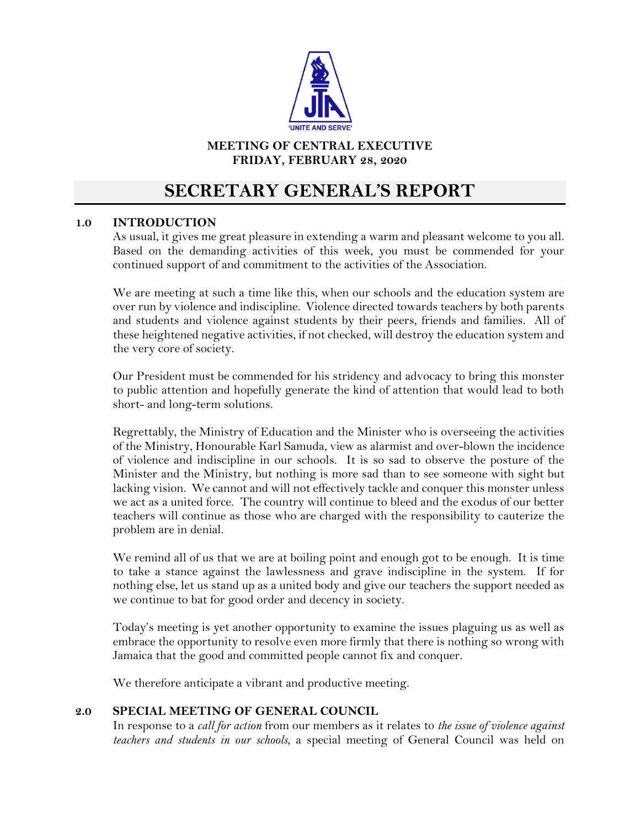

# **MEETING OF CENTRAL EXECUTIVE FRIDAY, FEBRUARY 28, 2020**

# **SECRETARY GENERAL'S REPORT**

# **1.0 INTRODUCTION**

As usual, it gives me great pleasure in extending a warm and pleasant welcome to you all. Based on the demanding activities of this week, you must be commended for your continued support of and commitment to the activities of the Association.

We are meeting at such a time like this, when our schools and the education system are over run by violence and indiscipline. Violence directed towards teachers by both parents and students and violence against students by their peers, friends and families. All of these heightened negative activities, if not checked, will destroy the education system and the very core of society.

Our President must be commended for his stridency and advocacy to bring this monster to public attention and hopefully generate the kind of attention that would lead to both short- and long-term solutions.

Regrettably, the Ministry of Education and the Minister who is overseeing the activities of the Ministry, Honourable Karl Samuda, view as alarmist and over-blown the incidence of violence and indiscipline in our schools. It is so sad to observe the posture of the Minister and the Ministry, but nothing is more sad than to see someone with sight but lacking vision. We cannot and will not effectively tackle and conquer this monster unless we act as a united force. The country will continue to bleed and the exodus of our better teachers will continue as those who are charged with the responsibility to cauterize the problem are in denial.

We remind all of us that we are at boiling point and enough got to be enough. It is time to take a stance against the lawlessness and grave indiscipline in the system. If for nothing else, let us stand up as a united body and give our teachers the support needed as we continue to bat for good order and decency in society.

Today's meeting is yet another opportunity to examine the issues plaguing us as well as embrace the opportunity to resolve even more firmly that there is nothing so wrong with Jamaica that the good and committed people cannot fix and conquer.

We therefore anticipate a vibrant and productive meeting.

#### **2.0 SPECIAL MEETING OF GENERAL COUNCIL**

In response to a *call for action* from our members as it relates to *the issue of violence against teachers and students in our schools*, a special meeting of General Council was held on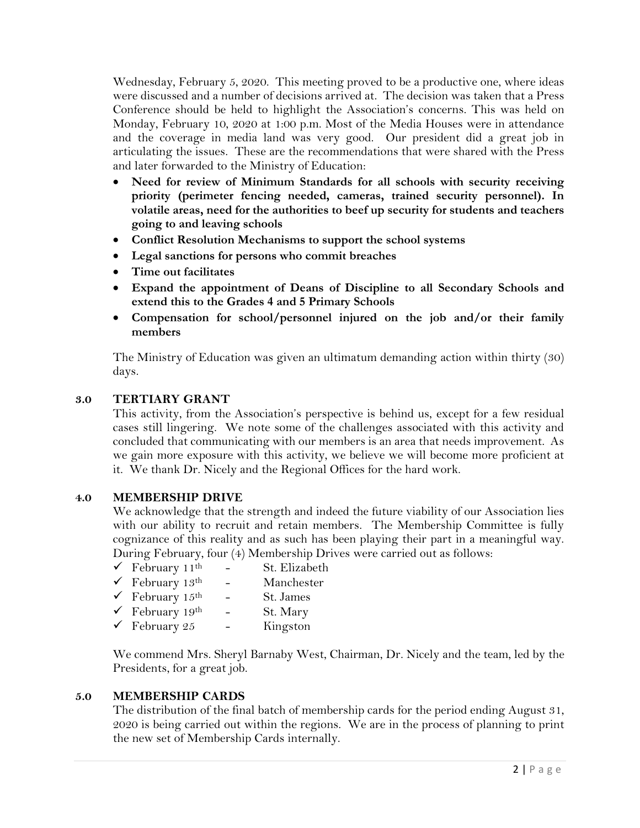Wednesday, February 5, 2020. This meeting proved to be a productive one, where ideas were discussed and a number of decisions arrived at. The decision was taken that a Press Conference should be held to highlight the Association's concerns. This was held on Monday, February 10, 2020 at 1:00 p.m. Most of the Media Houses were in attendance and the coverage in media land was very good. Our president did a great job in articulating the issues. These are the recommendations that were shared with the Press and later forwarded to the Ministry of Education:

- **Need for review of Minimum Standards for all schools with security receiving priority (perimeter fencing needed, cameras, trained security personnel). In volatile areas, need for the authorities to beef up security for students and teachers going to and leaving schools**
- **Conflict Resolution Mechanisms to support the school systems**
- **Legal sanctions for persons who commit breaches**
- **Time out facilitates**
- **Expand the appointment of Deans of Discipline to all Secondary Schools and extend this to the Grades 4 and 5 Primary Schools**
- **Compensation for school/personnel injured on the job and/or their family members**

The Ministry of Education was given an ultimatum demanding action within thirty (30) days.

# **3.0 TERTIARY GRANT**

This activity, from the Association's perspective is behind us, except for a few residual cases still lingering. We note some of the challenges associated with this activity and concluded that communicating with our members is an area that needs improvement. As we gain more exposure with this activity, we believe we will become more proficient at it. We thank Dr. Nicely and the Regional Offices for the hard work.

# **4.0 MEMBERSHIP DRIVE**

We acknowledge that the strength and indeed the future viability of our Association lies with our ability to recruit and retain members. The Membership Committee is fully cognizance of this reality and as such has been playing their part in a meaningful way. During February, four (4) Membership Drives were carried out as follows:

| $\checkmark$ February 11 <sup>th</sup> | St. Elizabeth |
|----------------------------------------|---------------|
| $\checkmark$ February 13 <sup>th</sup> | Manchester    |
| $\checkmark$ February 15 <sup>th</sup> | St. James     |
| $\checkmark$ February 19 <sup>th</sup> | St. Mary      |
| $\checkmark$ February 25               | Kingston      |

We commend Mrs. Sheryl Barnaby West, Chairman, Dr. Nicely and the team, led by the Presidents, for a great job.

# **5.0 MEMBERSHIP CARDS**

The distribution of the final batch of membership cards for the period ending August 31, 2020 is being carried out within the regions. We are in the process of planning to print the new set of Membership Cards internally.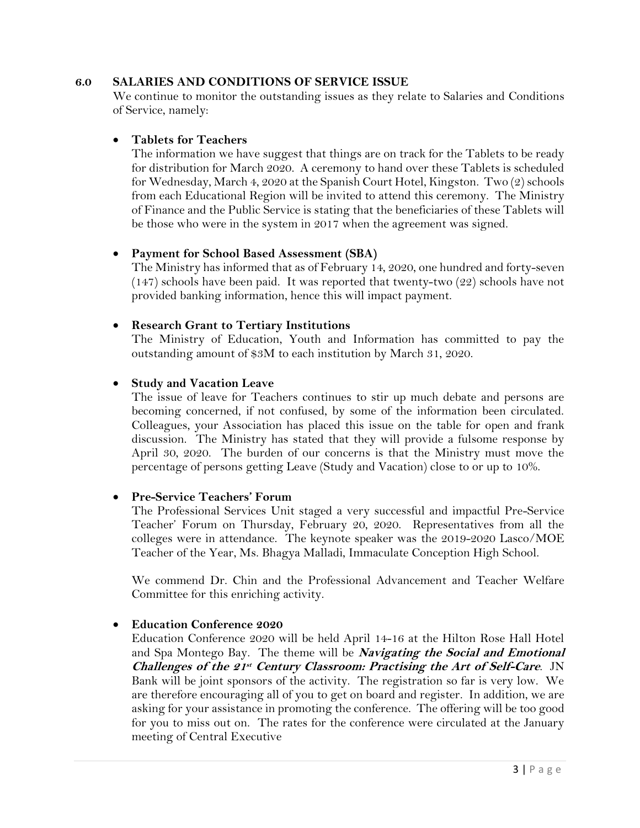#### **6.0 SALARIES AND CONDITIONS OF SERVICE ISSUE**

We continue to monitor the outstanding issues as they relate to Salaries and Conditions of Service, namely:

#### • **Tablets for Teachers**

The information we have suggest that things are on track for the Tablets to be ready for distribution for March 2020. A ceremony to hand over these Tablets is scheduled for Wednesday, March 4, 2020 at the Spanish Court Hotel, Kingston. Two (2) schools from each Educational Region will be invited to attend this ceremony. The Ministry of Finance and the Public Service is stating that the beneficiaries of these Tablets will be those who were in the system in 2017 when the agreement was signed.

#### • **Payment for School Based Assessment (SBA)**

The Ministry has informed that as of February 14, 2020, one hundred and forty-seven  $(147)$  schools have been paid. It was reported that twenty-two  $(22)$  schools have not provided banking information, hence this will impact payment.

#### • **Research Grant to Tertiary Institutions**

The Ministry of Education, Youth and Information has committed to pay the outstanding amount of \$3M to each institution by March 31, 2020.

#### • **Study and Vacation Leave**

The issue of leave for Teachers continues to stir up much debate and persons are becoming concerned, if not confused, by some of the information been circulated. Colleagues, your Association has placed this issue on the table for open and frank discussion. The Ministry has stated that they will provide a fulsome response by April 30, 2020. The burden of our concerns is that the Ministry must move the percentage of persons getting Leave (Study and Vacation) close to or up to 10%.

#### • **Pre-Service Teachers' Forum**

The Professional Services Unit staged a very successful and impactful Pre-Service Teacher' Forum on Thursday, February 20, 2020. Representatives from all the colleges were in attendance. The keynote speaker was the 2019-2020 Lasco/MOE Teacher of the Year, Ms. Bhagya Malladi, Immaculate Conception High School.

We commend Dr. Chin and the Professional Advancement and Teacher Welfare Committee for this enriching activity.

#### • **Education Conference 2020**

Education Conference 2020 will be held April 14-16 at the Hilton Rose Hall Hotel and Spa Montego Bay. The theme will be **Navigating the Social and Emotional**  Challenges of the 21<sup>st</sup> Century Classroom: Practising the Art of Self-Care. JN Bank will be joint sponsors of the activity. The registration so far is very low. We are therefore encouraging all of you to get on board and register. In addition, we are asking for your assistance in promoting the conference. The offering will be too good for you to miss out on. The rates for the conference were circulated at the January meeting of Central Executive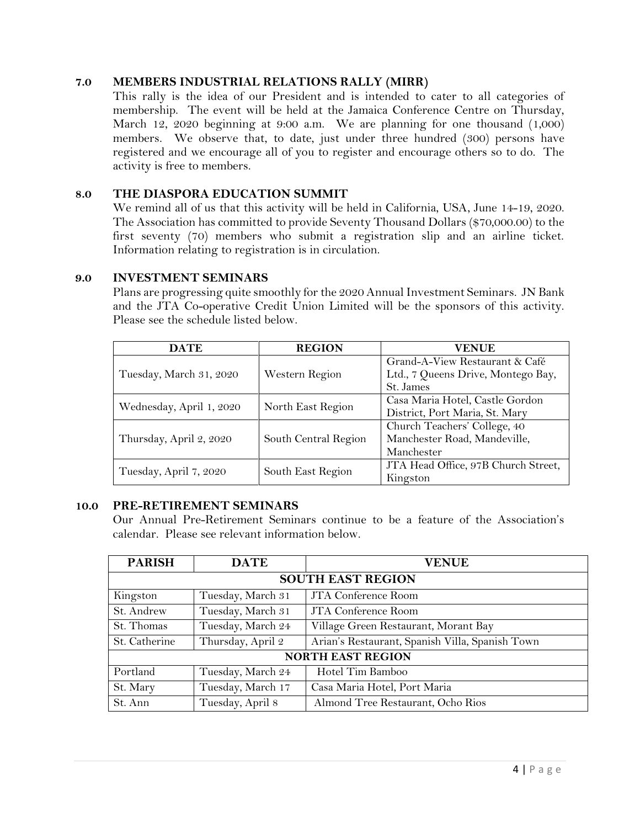## **7.0 MEMBERS INDUSTRIAL RELATIONS RALLY (MIRR)**

This rally is the idea of our President and is intended to cater to all categories of membership. The event will be held at the Jamaica Conference Centre on Thursday, March 12, 2020 beginning at 9:00 a.m. We are planning for one thousand (1,000) members. We observe that, to date, just under three hundred (300) persons have registered and we encourage all of you to register and encourage others so to do. The activity is free to members.

## **8.0 THE DIASPORA EDUCATION SUMMIT**

We remind all of us that this activity will be held in California, USA, June 14-19, 2020. The Association has committed to provide Seventy Thousand Dollars (\$70,000.00) to the first seventy (70) members who submit a registration slip and an airline ticket. Information relating to registration is in circulation.

#### **9.0 INVESTMENT SEMINARS**

Plans are progressing quite smoothly for the 2020 Annual Investment Seminars. JN Bank and the JTA Co-operative Credit Union Limited will be the sponsors of this activity. Please see the schedule listed below.

| <b>DATE</b>              | <b>REGION</b>        | <b>VENUE</b>                        |
|--------------------------|----------------------|-------------------------------------|
|                          | Western Region       | Grand-A-View Restaurant & Café      |
| Tuesday, March 31, 2020  |                      | Ltd., 7 Queens Drive, Montego Bay,  |
|                          |                      | St. James                           |
| Wednesday, April 1, 2020 |                      | Casa Maria Hotel, Castle Gordon     |
|                          | North East Region    | District, Port Maria, St. Mary      |
|                          | South Central Region | Church Teachers' College, 40        |
| Thursday, April 2, 2020  |                      | Manchester Road, Mandeville,        |
|                          |                      | Manchester                          |
| Tuesday, April 7, 2020   |                      | JTA Head Office, 97B Church Street, |
|                          | South East Region    | Kingston                            |

#### **10.0 PRE-RETIREMENT SEMINARS**

Our Annual Pre-Retirement Seminars continue to be a feature of the Association's calendar. Please see relevant information below.

| <b>PARISH</b>            | <b>DATE</b>       | <b>VENUE</b>                                    |  |  |  |
|--------------------------|-------------------|-------------------------------------------------|--|--|--|
| <b>SOUTH EAST REGION</b> |                   |                                                 |  |  |  |
| Kingston                 | Tuesday, March 31 | JTA Conference Room                             |  |  |  |
| St. Andrew               | Tuesday, March 31 | JTA Conference Room                             |  |  |  |
| St. Thomas               | Tuesday, March 24 | Village Green Restaurant, Morant Bay            |  |  |  |
| St. Catherine            | Thursday, April 2 | Arian's Restaurant, Spanish Villa, Spanish Town |  |  |  |
| <b>NORTH EAST REGION</b> |                   |                                                 |  |  |  |
| Portland                 | Tuesday, March 24 | Hotel Tim Bamboo                                |  |  |  |
| St. Mary                 | Tuesday, March 17 | Casa Maria Hotel, Port Maria                    |  |  |  |
| St. Ann                  | Tuesday, April 8  | Almond Tree Restaurant, Ocho Rios               |  |  |  |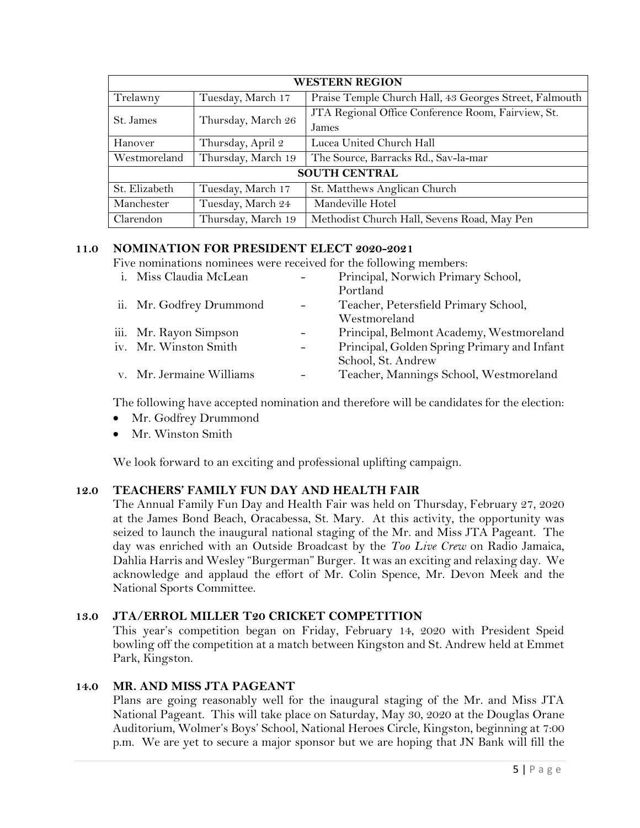| <b>WESTERN REGION</b> |                    |                                                        |  |  |
|-----------------------|--------------------|--------------------------------------------------------|--|--|
| Trelawny              | Tuesday, March 17  | Praise Temple Church Hall, 43 Georges Street, Falmouth |  |  |
| St. James             | Thursday, March 26 | JTA Regional Office Conference Room, Fairview, St.     |  |  |
|                       |                    | James                                                  |  |  |
| Hanover               | Thursday, April 2  | Lucea United Church Hall                               |  |  |
| Westmoreland          | Thursday, March 19 | The Source, Barracks Rd., Sav-la-mar                   |  |  |
| <b>SOUTH CENTRAL</b>  |                    |                                                        |  |  |
| St. Elizabeth         | Tuesday, March 17  | St. Matthews Anglican Church                           |  |  |
| Manchester            | Tuesday, March 24  | Mandeville Hotel                                       |  |  |
| Clarendon             | Thursday, March 19 | Methodist Church Hall, Sevens Road, May Pen            |  |  |

# **11.0 NOMINATION FOR PRESIDENT ELECT 2020-2021**

Five nominations nominees were received for the following members:

| i. Miss Claudia McLean   | Principal, Norwich Primary School,          |
|--------------------------|---------------------------------------------|
|                          | Portland                                    |
| ii. Mr. Godfrey Drummond | Teacher, Petersfield Primary School,        |
|                          | Westmoreland                                |
| iii. Mr. Rayon Simpson   | Principal, Belmont Academy, Westmoreland    |
| iv. Mr. Winston Smith    | Principal, Golden Spring Primary and Infant |
|                          | School, St. Andrew                          |
| v. Mr. Jermaine Williams | Teacher, Mannings School, Westmoreland      |
|                          |                                             |

The following have accepted nomination and therefore will be candidates for the election:

- Mr. Godfrey Drummond
- Mr. Winston Smith

We look forward to an exciting and professional uplifting campaign.

#### **12.0 TEACHERS' FAMILY FUN DAY AND HEALTH FAIR**

The Annual Family Fun Day and Health Fair was held on Thursday, February 27, 2020 at the James Bond Beach, Oracabessa, St. Mary. At this activity, the opportunity was seized to launch the inaugural national staging of the Mr. and Miss JTA Pageant. The day was enriched with an Outside Broadcast by the *Too Live Crew* on Radio Jamaica, Dahlia Harris and Wesley "Burgerman" Burger. It was an exciting and relaxing day. We acknowledge and applaud the effort of Mr. Colin Spence, Mr. Devon Meek and the National Sports Committee.

# **13.0 JTA/ERROL MILLER T20 CRICKET COMPETITION**

This year's competition began on Friday, February 14, 2020 with President Speid bowling off the competition at a match between Kingston and St. Andrew held at Emmet Park, Kingston.

#### **14.0 MR. AND MISS JTA PAGEANT**

Plans are going reasonably well for the inaugural staging of the Mr. and Miss JTA National Pageant. This will take place on Saturday, May 30, 2020 at the Douglas Orane Auditorium, Wolmer's Boys' School, National Heroes Circle, Kingston, beginning at 7:00 p.m. We are yet to secure a major sponsor but we are hoping that JN Bank will fill the